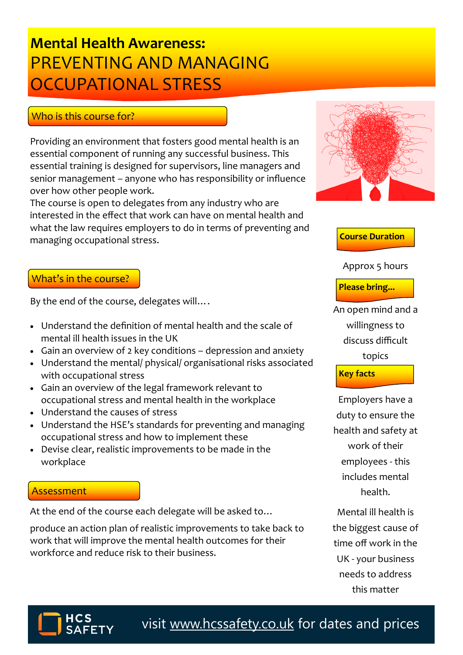## PREVENTING AND MANAGING **Mental Health Awareness:** OCCUPATIONAL STRESS

### Who is this course for?

Providing an environment that fosters good mental health is an essential component of running any successful business. This essential training is designed for supervisors, line managers and senior management – anyone who has responsibility or influence over how other people work.

The course is open to delegates from any industry who are interested in the effect that work can have on mental health and what the law requires employers to do in terms of preventing and managing occupational stress.

#### What's in the course?

By the end of the course, delegates will….

- Understand the definition of mental health and the scale of mental ill health issues in the UK
- Gain an overview of 2 key conditions depression and anxiety
- Understand the mental/ physical/ organisational risks associated with occupational stress
- Gain an overview of the legal framework relevant to occupational stress and mental health in the workplace
- Understand the causes of stress
- Understand the HSE's standards for preventing and managing occupational stress and how to implement these
- Devise clear, realistic improvements to be made in the workplace

#### **Assessment**

At the end of the course each delegate will be asked to…

produce an action plan of realistic improvements to take back to work that will improve the mental health outcomes for their workforce and reduce risk to their business.



#### **Course Duration**

#### Approx 5 hours

**Please bring...**

An open mind and a willingness to discuss difficult topics **Key facts**

Employers have a duty to ensure the health and safety at work of their employees - this includes mental health.

Mental ill health is the biggest cause of time off work in the UK - your business needs to address this matter



visit [www.hcssafety.co.uk](http://www.hcssafety.co.uk/training) for dates and prices